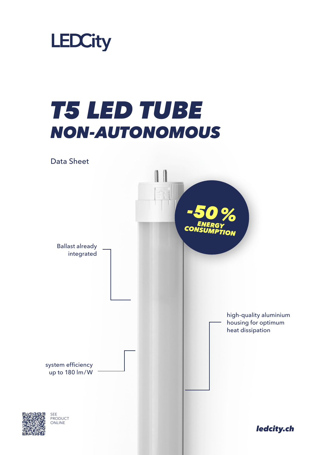

## *T5 LED TUBE NON-AUTONOMOUS*





*ledcity.ch*